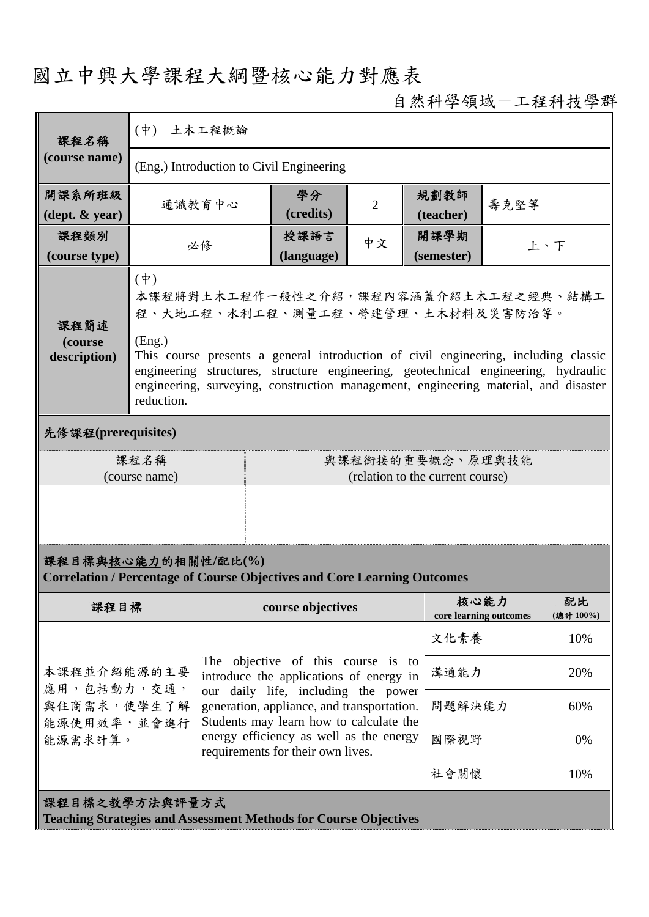## 國立中興大學課程大綱暨核心能力對應表

## 自然科學領域-工程科技學群

| 課程名稱<br>(course name)                                                                                  | $(\dot{\Psi})$<br>土木工程概論                                                                                                                                                                                                                                                                 |                                                                                                                              |                                                                               |                                                                              |                    |                                |                 |  |  |  |
|--------------------------------------------------------------------------------------------------------|------------------------------------------------------------------------------------------------------------------------------------------------------------------------------------------------------------------------------------------------------------------------------------------|------------------------------------------------------------------------------------------------------------------------------|-------------------------------------------------------------------------------|------------------------------------------------------------------------------|--------------------|--------------------------------|-----------------|--|--|--|
|                                                                                                        | (Eng.) Introduction to Civil Engineering                                                                                                                                                                                                                                                 |                                                                                                                              |                                                                               |                                                                              |                    |                                |                 |  |  |  |
| 開課系所班級<br>$(\text{dept.} \& \text{ year})$                                                             |                                                                                                                                                                                                                                                                                          | 通識教育中心                                                                                                                       | 學分<br>(credits)                                                               | $\overline{2}$                                                               | 規劃教師<br>(teacher)  | 壽克堅等                           |                 |  |  |  |
| 課程類別<br>(course type)                                                                                  |                                                                                                                                                                                                                                                                                          | 必修                                                                                                                           | 授課語言<br>(language)                                                            | 中文                                                                           | 開課學期<br>(semester) | 上、下                            |                 |  |  |  |
| 課程簡述<br>(course<br>description)                                                                        | $(\dagger)$<br>本課程將對土木工程作一般性之介紹,課程內容涵蓋介紹土木工程之經典、結構工<br>程、大地工程、水利工程、測量工程、營建管理、土木材料及災害防治等。                                                                                                                                                                                                 |                                                                                                                              |                                                                               |                                                                              |                    |                                |                 |  |  |  |
|                                                                                                        | (Eng.)<br>This course presents a general introduction of civil engineering, including classic<br>engineering structures, structure engineering, geotechnical engineering, hydraulic<br>engineering, surveying, construction management, engineering material, and disaster<br>reduction. |                                                                                                                              |                                                                               |                                                                              |                    |                                |                 |  |  |  |
| 先修課程(prerequisites)                                                                                    |                                                                                                                                                                                                                                                                                          |                                                                                                                              |                                                                               |                                                                              |                    |                                |                 |  |  |  |
| 課程名稱<br>(course name)                                                                                  |                                                                                                                                                                                                                                                                                          |                                                                                                                              | 與課程銜接的重要概念、原理與技能<br>(relation to the current course)                          |                                                                              |                    |                                |                 |  |  |  |
|                                                                                                        |                                                                                                                                                                                                                                                                                          |                                                                                                                              |                                                                               |                                                                              |                    |                                |                 |  |  |  |
|                                                                                                        |                                                                                                                                                                                                                                                                                          |                                                                                                                              |                                                                               |                                                                              |                    |                                |                 |  |  |  |
| 課程目標與核心能力的相關性/配比(%)<br><b>Correlation / Percentage of Course Objectives and Core Learning Outcomes</b> |                                                                                                                                                                                                                                                                                          |                                                                                                                              |                                                                               |                                                                              |                    |                                |                 |  |  |  |
| 課程目標                                                                                                   |                                                                                                                                                                                                                                                                                          |                                                                                                                              | course objectives                                                             |                                                                              |                    | 核心能力<br>core learning outcomes | 配比<br>(總計 100%) |  |  |  |
|                                                                                                        |                                                                                                                                                                                                                                                                                          |                                                                                                                              |                                                                               |                                                                              | 文化素養               |                                | 10%             |  |  |  |
| 本課程並介紹能源的主要<br>應用,包括動力,交通,                                                                             |                                                                                                                                                                                                                                                                                          |                                                                                                                              | The objective of this course is to<br>introduce the applications of energy in |                                                                              |                    |                                | 20%             |  |  |  |
| 與住商需求,使學生了解<br>能源使用效率,並會進行<br>能源需求計算。                                                                  |                                                                                                                                                                                                                                                                                          | our daily life, including the power<br>generation, appliance, and transportation.<br>Students may learn how to calculate the |                                                                               |                                                                              | 問題解決能力             |                                | 60%             |  |  |  |
|                                                                                                        |                                                                                                                                                                                                                                                                                          |                                                                                                                              |                                                                               | energy efficiency as well as the energy<br>requirements for their own lives. |                    | 國際視野                           | 0%              |  |  |  |
|                                                                                                        |                                                                                                                                                                                                                                                                                          |                                                                                                                              |                                                                               | 社會關懷                                                                         |                    | 10%                            |                 |  |  |  |
| 課程目標之教學方法與評量方式<br><b>Teaching Strategies and Assessment Methods for Course Objectives</b>              |                                                                                                                                                                                                                                                                                          |                                                                                                                              |                                                                               |                                                                              |                    |                                |                 |  |  |  |